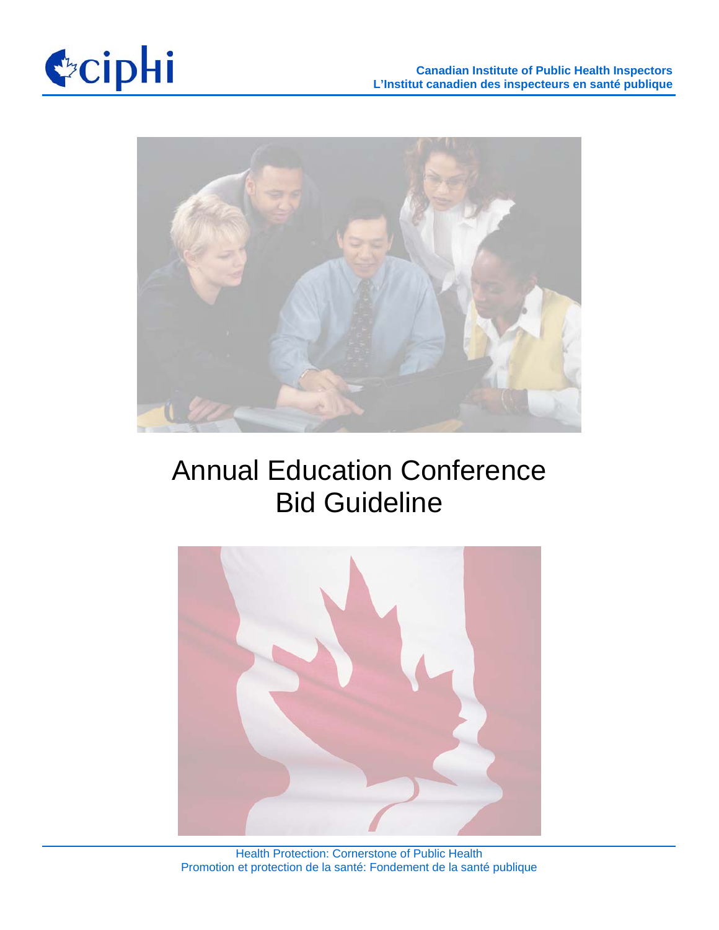



# Annual Education Conference Bid Guideline



Health Protection: Cornerstone of Public Health Promotion et protection de la santé: Fondement de la santé publique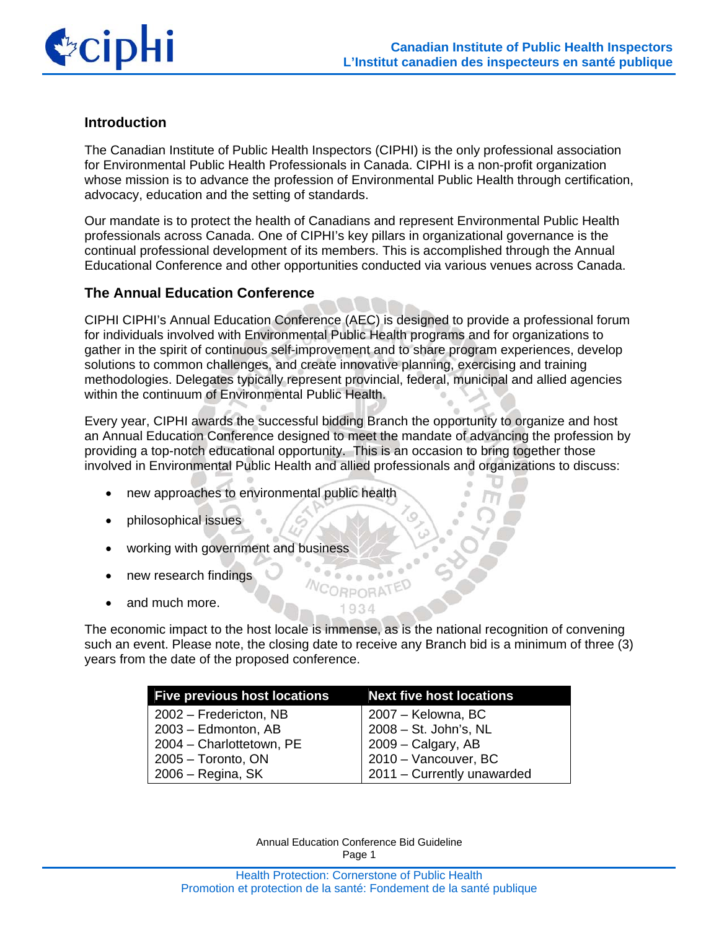

### **Introduction**

The Canadian Institute of Public Health Inspectors (CIPHI) is the only professional association for Environmental Public Health Professionals in Canada. CIPHI is a non-profit organization whose mission is to advance the profession of Environmental Public Health through certification, advocacy, education and the setting of standards.

Our mandate is to protect the health of Canadians and represent Environmental Public Health professionals across Canada. One of CIPHI's key pillars in organizational governance is the continual professional development of its members. This is accomplished through the Annual Educational Conference and other opportunities conducted via various venues across Canada.

#### **The Annual Education Conference**

CIPHI CIPHI's Annual Education Conference (AEC) is designed to provide a professional forum for individuals involved with Environmental Public Health programs and for organizations to gather in the spirit of continuous self-improvement and to share program experiences, develop solutions to common challenges, and create innovative planning, exercising and training methodologies. Delegates typically represent provincial, federal, municipal and allied agencies within the continuum of Environmental Public Health.

Every year, CIPHI awards the successful bidding Branch the opportunity to organize and host an Annual Education Conference designed to meet the mandate of advancing the profession by providing a top-notch educational opportunity. This is an occasion to bring together those involved in Environmental Public Health and allied professionals and organizations to discuss:

- new approaches to environmental public health
- philosophical issues
- working with government and business
- new research findings
- and much more.

The economic impact to the host locale is immense, as is the national recognition of convening such an event. Please note, the closing date to receive any Branch bid is a minimum of three (3) years from the date of the proposed conference.

 $\overline{\cdots}$ **NCORPORATED** 1934

| <b>Five previous host locations</b> | <b>Next five host locations</b> |
|-------------------------------------|---------------------------------|
| 2002 – Fredericton, NB              | 2007 – Kelowna, BC              |
| 2003 – Edmonton, AB                 | 2008 - St. John's, NL           |
| 2004 - Charlottetown, PE            | 2009 - Calgary, AB              |
| 2005 - Toronto, ON                  | 2010 - Vancouver, BC            |
| 2006 – Regina, SK                   | 2011 - Currently unawarded      |

Annual Education Conference Bid Guideline Page 1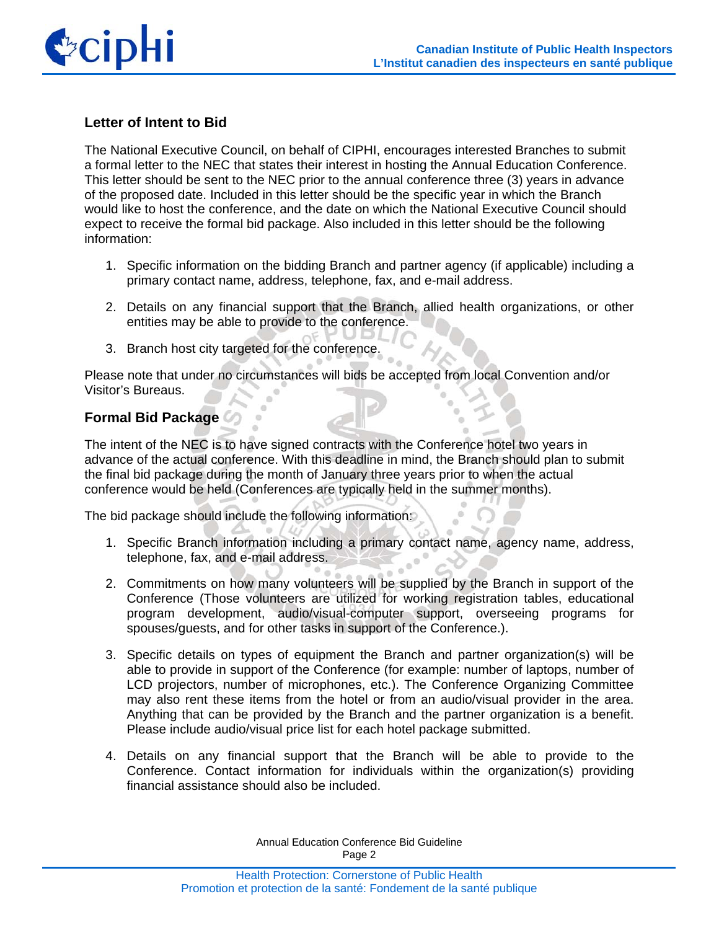

## **Letter of Intent to Bid**

The National Executive Council, on behalf of CIPHI, encourages interested Branches to submit a formal letter to the NEC that states their interest in hosting the Annual Education Conference. This letter should be sent to the NEC prior to the annual conference three (3) years in advance of the proposed date. Included in this letter should be the specific year in which the Branch would like to host the conference, and the date on which the National Executive Council should expect to receive the formal bid package. Also included in this letter should be the following information:

- 1. Specific information on the bidding Branch and partner agency (if applicable) including a primary contact name, address, telephone, fax, and e-mail address.
- 2. Details on any financial support that the Branch, allied health organizations, or other entities may be able to provide to the conference.
- 3. Branch host city targeted for the conference.

Please note that under no circumstances will bids be accepted from local Convention and/or Visitor's Bureaus.

## **Formal Bid Package**

The intent of the NEC is to have signed contracts with the Conference hotel two years in advance of the actual conference. With this deadline in mind, the Branch should plan to submit the final bid package during the month of January three years prior to when the actual conference would be held (Conferences are typically held in the summer months).

The bid package should include the following information:

- 1. Specific Branch information including a primary contact name, agency name, address, telephone, fax, and e-mail address.
- 2. Commitments on how many volunteers will be supplied by the Branch in support of the Conference (Those volunteers are utilized for working registration tables, educational program development, audio/visual-computer support, overseeing programs for spouses/guests, and for other tasks in support of the Conference.).
- 3. Specific details on types of equipment the Branch and partner organization(s) will be able to provide in support of the Conference (for example: number of laptops, number of LCD projectors, number of microphones, etc.). The Conference Organizing Committee may also rent these items from the hotel or from an audio/visual provider in the area. Anything that can be provided by the Branch and the partner organization is a benefit. Please include audio/visual price list for each hotel package submitted.
- 4. Details on any financial support that the Branch will be able to provide to the Conference. Contact information for individuals within the organization(s) providing financial assistance should also be included.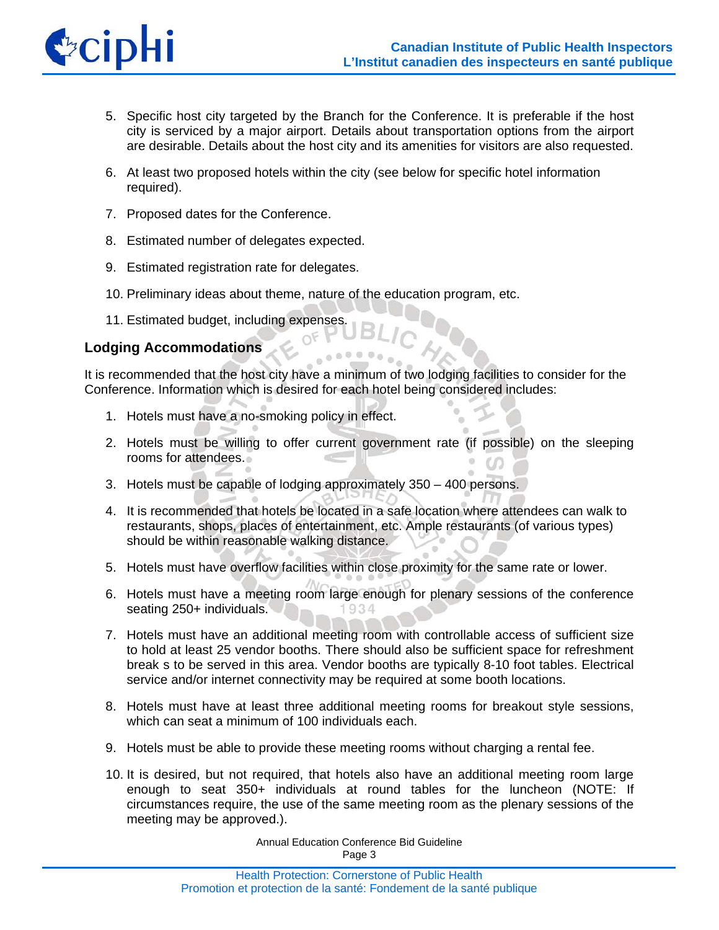

- 5. Specific host city targeted by the Branch for the Conference. It is preferable if the host city is serviced by a major airport. Details about transportation options from the airport are desirable. Details about the host city and its amenities for visitors are also requested.
- 6. At least two proposed hotels within the city (see below for specific hotel information required).
- 7. Proposed dates for the Conference.
- 8. Estimated number of delegates expected.
- 9. Estimated registration rate for delegates.
- 10. Preliminary ideas about theme, nature of the education program, etc.
- 11. Estimated budget, including expenses.

## **Lodging Accommodations**

It is recommended that the host city have a minimum of two lodging facilities to consider for the Conference. Information which is desired for each hotel being considered includes:

- 1. Hotels must have a no-smoking policy in effect.
- 2. Hotels must be willing to offer current government rate (if possible) on the sleeping rooms for attendees.
- 3. Hotels must be capable of lodging approximately 350 400 persons.
- 4. It is recommended that hotels be located in a safe location where attendees can walk to restaurants, shops, places of entertainment, etc. Ample restaurants (of various types) should be within reasonable walking distance.
- 5. Hotels must have overflow facilities within close proximity for the same rate or lower.
- 6. Hotels must have a meeting room large enough for plenary sessions of the conference seating 250+ individuals.  $QQ$
- 7. Hotels must have an additional meeting room with controllable access of sufficient size to hold at least 25 vendor booths. There should also be sufficient space for refreshment break s to be served in this area. Vendor booths are typically 8-10 foot tables. Electrical service and/or internet connectivity may be required at some booth locations.
- 8. Hotels must have at least three additional meeting rooms for breakout style sessions, which can seat a minimum of 100 individuals each.
- 9. Hotels must be able to provide these meeting rooms without charging a rental fee.
- 10. It is desired, but not required, that hotels also have an additional meeting room large enough to seat 350+ individuals at round tables for the luncheon (NOTE: If circumstances require, the use of the same meeting room as the plenary sessions of the meeting may be approved.).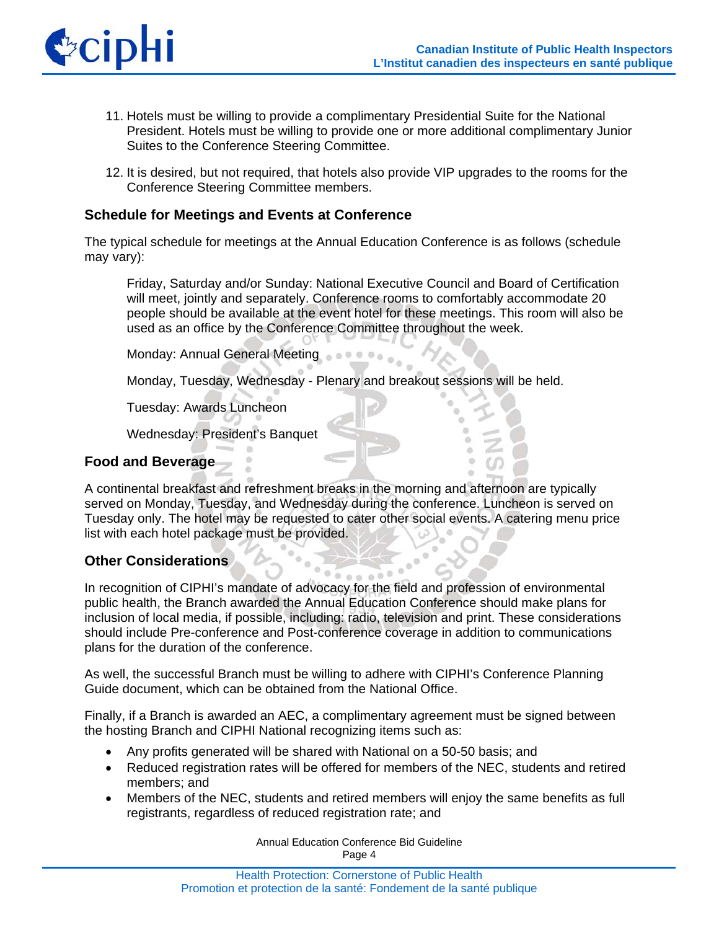

- 11. Hotels must be willing to provide a complimentary Presidential Suite for the National President. Hotels must be willing to provide one or more additional complimentary Junior Suites to the Conference Steering Committee.
- 12. It is desired, but not required, that hotels also provide VIP upgrades to the rooms for the Conference Steering Committee members.

#### **Schedule for Meetings and Events at Conference**

The typical schedule for meetings at the Annual Education Conference is as follows (schedule may vary):

Friday, Saturday and/or Sunday: National Executive Council and Board of Certification will meet, jointly and separately. Conference rooms to comfortably accommodate 20 people should be available at the event hotel for these meetings. This room will also be used as an office by the Conference Committee throughout the week.

Monday: Annual General Meeting

Monday, Tuesday, Wednesday - Plenary and breakout sessions will be held.

Tuesday: Awards Luncheon

Wednesday: President's Banquet

#### **Food and Beverage**

A continental breakfast and refreshment breaks in the morning and afternoon are typically served on Monday, Tuesday, and Wednesday during the conference. Luncheon is served on Tuesday only. The hotel may be requested to cater other social events. A catering menu price list with each hotel package must be provided.

## **Other Considerations**

In recognition of CIPHI's mandate of advocacy for the field and profession of environmental public health, the Branch awarded the Annual Education Conference should make plans for inclusion of local media, if possible, including: radio, television and print. These considerations should include Pre-conference and Post-conference coverage in addition to communications plans for the duration of the conference.

As well, the successful Branch must be willing to adhere with CIPHI's Conference Planning Guide document, which can be obtained from the National Office.

Finally, if a Branch is awarded an AEC, a complimentary agreement must be signed between the hosting Branch and CIPHI National recognizing items such as:

- Any profits generated will be shared with National on a 50-50 basis; and
- Reduced registration rates will be offered for members of the NEC, students and retired members; and
- Members of the NEC, students and retired members will enjoy the same benefits as full registrants, regardless of reduced registration rate; and

Annual Education Conference Bid Guideline Page 4